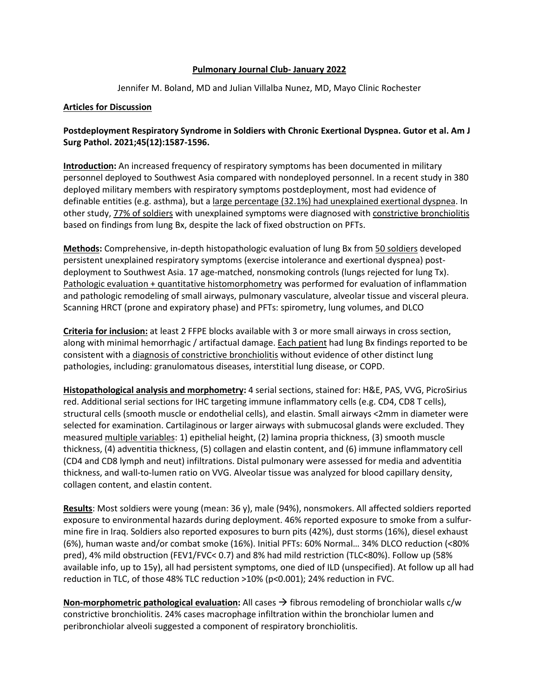# **Pulmonary Journal Club- January 2022**

Jennifer M. Boland, MD and Julian Villalba Nunez, MD, Mayo Clinic Rochester

# **Articles for Discussion**

# **Postdeployment Respiratory Syndrome in Soldiers with Chronic Exertional Dyspnea. Gutor et al. Am J Surg Pathol. 2021;45(12):1587-1596.**

**Introduction:** An increased frequency of respiratory symptoms has been documented in military personnel deployed to Southwest Asia compared with nondeployed personnel. In a recent study in 380 deployed military members with respiratory symptoms postdeployment, most had evidence of definable entities (e.g. asthma), but a large percentage (32.1%) had unexplained exertional dyspnea. In other study, 77% of soldiers with unexplained symptoms were diagnosed with constrictive bronchiolitis based on findings from lung Bx, despite the lack of fixed obstruction on PFTs.

**Methods:** Comprehensive, in-depth histopathologic evaluation of lung Bx from 50 soldiers developed persistent unexplained respiratory symptoms (exercise intolerance and exertional dyspnea) postdeployment to Southwest Asia. 17 age-matched, nonsmoking controls (lungs rejected for lung Tx). Pathologic evaluation + quantitative histomorphometry was performed for evaluation of inflammation and pathologic remodeling of small airways, pulmonary vasculature, alveolar tissue and visceral pleura. Scanning HRCT (prone and expiratory phase) and PFTs: spirometry, lung volumes, and DLCO

**Criteria for inclusion:** at least 2 FFPE blocks available with 3 or more small airways in cross section, along with minimal hemorrhagic / artifactual damage. Each patient had lung Bx findings reported to be consistent with a diagnosis of constrictive bronchiolitis without evidence of other distinct lung pathologies, including: granulomatous diseases, interstitial lung disease, or COPD.

**Histopathological analysis and morphometry:** 4 serial sections, stained for: H&E, PAS, VVG, PicroSirius red. Additional serial sections for IHC targeting immune inflammatory cells (e.g. CD4, CD8 T cells), structural cells (smooth muscle or endothelial cells), and elastin. Small airways <2mm in diameter were selected for examination. Cartilaginous or larger airways with submucosal glands were excluded. They measured multiple variables: 1) epithelial height, (2) lamina propria thickness, (3) smooth muscle thickness, (4) adventitia thickness, (5) collagen and elastin content, and (6) immune inflammatory cell (CD4 and CD8 lymph and neut) infiltrations. Distal pulmonary were assessed for media and adventitia thickness, and wall-to-lumen ratio on VVG. Alveolar tissue was analyzed for blood capillary density, collagen content, and elastin content.

**Results**: Most soldiers were young (mean: 36 y), male (94%), nonsmokers. All affected soldiers reported exposure to environmental hazards during deployment. 46% reported exposure to smoke from a sulfurmine fire in Iraq. Soldiers also reported exposures to burn pits (42%), dust storms (16%), diesel exhaust (6%), human waste and/or combat smoke (16%). Initial PFTs: 60% Normal… 34% DLCO reduction (<80% pred), 4% mild obstruction (FEV1/FVC< 0.7) and 8% had mild restriction (TLC<80%). Follow up (58% available info, up to 15y), all had persistent symptoms, one died of ILD (unspecified). At follow up all had reduction in TLC, of those 48% TLC reduction >10% (p<0.001); 24% reduction in FVC.

**Non-morphometric pathological evaluation:** All cases  $\rightarrow$  fibrous remodeling of bronchiolar walls c/w constrictive bronchiolitis. 24% cases macrophage infiltration within the bronchiolar lumen and peribronchiolar alveoli suggested a component of respiratory bronchiolitis.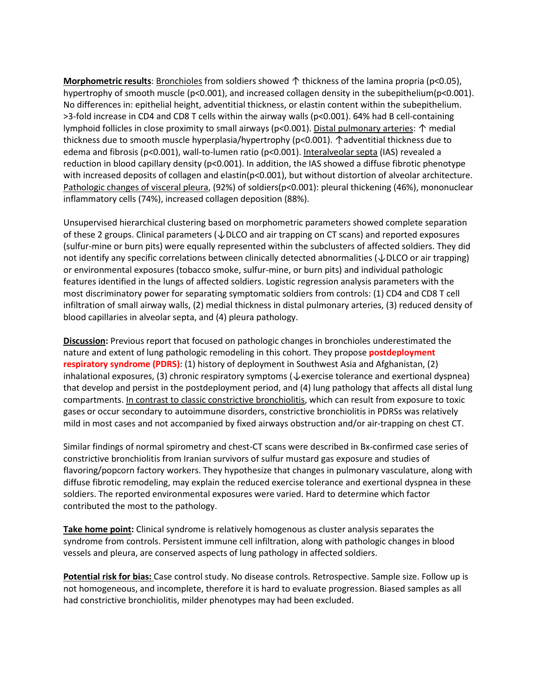**Morphometric results**: Bronchioles from soldiers showed ↑ thickness of the lamina propria (p<0.05), hypertrophy of smooth muscle (p<0.001), and increased collagen density in the subepithelium(p<0.001). No differences in: epithelial height, adventitial thickness, or elastin content within the subepithelium. >3-fold increase in CD4 and CD8 T cells within the airway walls (p<0.001). 64% had B cell-containing lymphoid follicles in close proximity to small airways (p<0.001). Distal pulmonary arteries: ↑ medial thickness due to smooth muscle hyperplasia/hypertrophy (p<0.001). ↑adventitial thickness due to edema and fibrosis (p<0.001), wall-to-lumen ratio (p<0.001). Interalveolar septa (IAS) revealed a reduction in blood capillary density (p<0.001). In addition, the IAS showed a diffuse fibrotic phenotype with increased deposits of collagen and elastin( $p<0.001$ ), but without distortion of alveolar architecture. Pathologic changes of visceral pleura, (92%) of soldiers(p<0.001): pleural thickening (46%), mononuclear inflammatory cells (74%), increased collagen deposition (88%).

Unsupervised hierarchical clustering based on morphometric parameters showed complete separation of these 2 groups. Clinical parameters (↓DLCO and air trapping on CT scans) and reported exposures (sulfur-mine or burn pits) were equally represented within the subclusters of affected soldiers. They did not identify any specific correlations between clinically detected abnormalities (↓DLCO or air trapping) or environmental exposures (tobacco smoke, sulfur-mine, or burn pits) and individual pathologic features identified in the lungs of affected soldiers. Logistic regression analysis parameters with the most discriminatory power for separating symptomatic soldiers from controls: (1) CD4 and CD8 T cell infiltration of small airway walls, (2) medial thickness in distal pulmonary arteries, (3) reduced density of blood capillaries in alveolar septa, and (4) pleura pathology.

**Discussion:** Previous report that focused on pathologic changes in bronchioles underestimated the nature and extent of lung pathologic remodeling in this cohort. They propose **postdeployment respiratory syndrome (PDRS)**: (1) history of deployment in Southwest Asia and Afghanistan, (2) inhalational exposures, (3) chronic respiratory symptoms (↓exercise tolerance and exertional dyspnea) that develop and persist in the postdeployment period, and (4) lung pathology that affects all distal lung compartments. In contrast to classic constrictive bronchiolitis, which can result from exposure to toxic gases or occur secondary to autoimmune disorders, constrictive bronchiolitis in PDRSs was relatively mild in most cases and not accompanied by fixed airways obstruction and/or air-trapping on chest CT.

Similar findings of normal spirometry and chest-CT scans were described in Bx-confirmed case series of constrictive bronchiolitis from Iranian survivors of sulfur mustard gas exposure and studies of flavoring/popcorn factory workers. They hypothesize that changes in pulmonary vasculature, along with diffuse fibrotic remodeling, may explain the reduced exercise tolerance and exertional dyspnea in these soldiers. The reported environmental exposures were varied. Hard to determine which factor contributed the most to the pathology.

**Take home point:** Clinical syndrome is relatively homogenous as cluster analysis separates the syndrome from controls. Persistent immune cell infiltration, along with pathologic changes in blood vessels and pleura, are conserved aspects of lung pathology in affected soldiers.

**Potential risk for bias:** Case control study. No disease controls. Retrospective. Sample size. Follow up is not homogeneous, and incomplete, therefore it is hard to evaluate progression. Biased samples as all had constrictive bronchiolitis, milder phenotypes may had been excluded.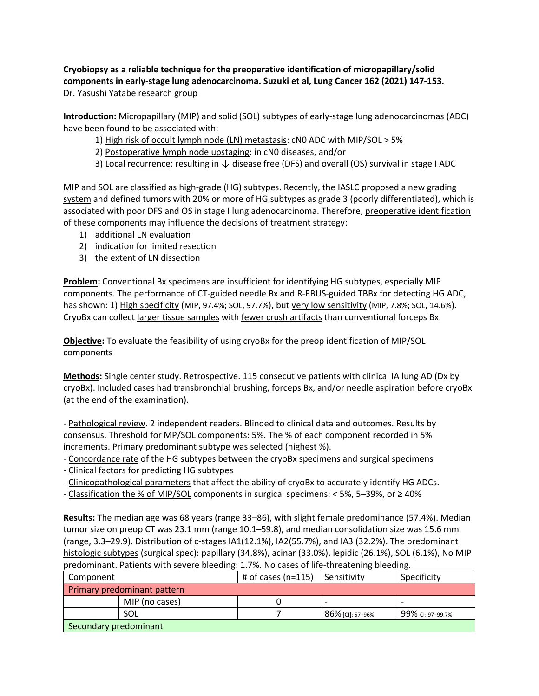**Cryobiopsy as a reliable technique for the preoperative identification of micropapillary/solid components in early-stage lung adenocarcinoma. Suzuki et al, Lung Cancer 162 (2021) 147-153.** Dr. Yasushi Yatabe research group

**Introduction:** Micropapillary (MIP) and solid (SOL) subtypes of early-stage lung adenocarcinomas (ADC) have been found to be associated with:

- 1) High risk of occult lymph node (LN) metastasis: cN0 ADC with MIP/SOL > 5%
- 2) Postoperative lymph node upstaging: in cN0 diseases, and/or
- 3) Local recurrence: resulting in ↓ disease free (DFS) and overall (OS) survival in stage I ADC

MIP and SOL are classified as high-grade (HG) subtypes. Recently, the IASLC proposed a new grading system and defined tumors with 20% or more of HG subtypes as grade 3 (poorly differentiated), which is associated with poor DFS and OS in stage I lung adenocarcinoma. Therefore, preoperative identification of these components may influence the decisions of treatment strategy:

- 1) additional LN evaluation
- 2) indication for limited resection
- 3) the extent of LN dissection

**Problem:** Conventional Bx specimens are insufficient for identifying HG subtypes, especially MIP components. The performance of CT-guided needle Bx and R-EBUS-guided TBBx for detecting HG ADC, has shown: 1) High specificity (MIP, 97.4%; SOL, 97.7%), but very low sensitivity (MIP, 7.8%; SOL, 14.6%). CryoBx can collect larger tissue samples with fewer crush artifacts than conventional forceps Bx.

**Objective:** To evaluate the feasibility of using cryoBx for the preop identification of MIP/SOL components

**Methods:** Single center study. Retrospective. 115 consecutive patients with clinical IA lung AD (Dx by cryoBx). Included cases had transbronchial brushing, forceps Bx, and/or needle aspiration before cryoBx (at the end of the examination).

- Pathological review. 2 independent readers. Blinded to clinical data and outcomes. Results by consensus. Threshold for MP/SOL components: 5%. The % of each component recorded in 5% increments. Primary predominant subtype was selected (highest %).

- Concordance rate of the HG subtypes between the cryoBx specimens and surgical specimens

- Clinical factors for predicting HG subtypes
- Clinicopathological parameters that affect the ability of cryoBx to accurately identify HG ADCs.
- Classification the % of MIP/SOL components in surgical specimens: < 5%, 5–39%, or ≥ 40%

**Results:** The median age was 68 years (range 33–86), with slight female predominance (57.4%). Median tumor size on preop CT was 23.1 mm (range 10.1–59.8), and median consolidation size was 15.6 mm (range, 3.3–29.9). Distribution of c-stages IA1(12.1%), IA2(55.7%), and IA3 (32.2%). The predominant histologic subtypes (surgical spec): papillary (34.8%), acinar (33.0%), lepidic (26.1%), SOL (6.1%), No MIP predominant. Patients with severe bleeding: 1.7%. No cases of life-threatening bleeding.

| Component                   |                | # of cases (n=115) | l Sensitivitv    | Specificity      |  |  |
|-----------------------------|----------------|--------------------|------------------|------------------|--|--|
| Primary predominant pattern |                |                    |                  |                  |  |  |
|                             | MIP (no cases) |                    |                  | -                |  |  |
|                             | SOL            |                    | 86% [CI]: 57-96% | 99% CI: 97-99.7% |  |  |
| Secondary predominant       |                |                    |                  |                  |  |  |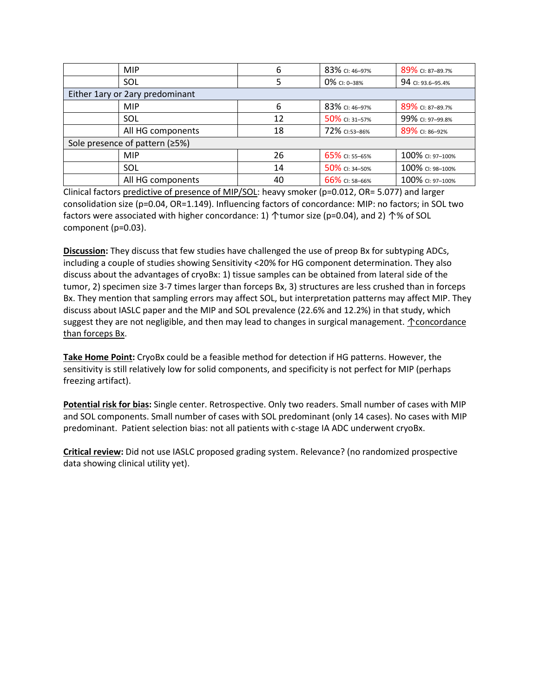| <b>MIP</b>                      | 6  | 83% CI: 46-97% | 89% CI: 87-89.7%  |  |  |
|---------------------------------|----|----------------|-------------------|--|--|
| SOL                             |    | 0% CI: 0-38%   | 94 CI: 93.6-95.4% |  |  |
| Either 1ary or 2ary predominant |    |                |                   |  |  |
| <b>MIP</b>                      | 6  | 83% CI: 46-97% | 89% CI: 87-89.7%  |  |  |
| SOL                             | 12 | 50% CI: 31-57% | 99% CI: 97-99.8%  |  |  |
| All HG components               | 18 | 72% CI:53-86%  | 89% CI: 86-92%    |  |  |
| Sole presence of pattern (≥5%)  |    |                |                   |  |  |
| <b>MIP</b>                      | 26 | 65% CI: 55-65% | 100% CI: 97-100%  |  |  |
| SOL                             | 14 | 50% CI: 34-50% | 100% CI: 98-100%  |  |  |
| All HG components               | 40 | 66% CI: 58-66% | 100% CI: 97-100%  |  |  |

Clinical factors predictive of presence of MIP/SOL: heavy smoker (p=0.012, OR= 5.077) and larger consolidation size (p=0.04, OR=1.149). Influencing factors of concordance: MIP: no factors; in SOL two factors were associated with higher concordance: 1)  $\uparrow$  tumor size (p=0.04), and 2)  $\uparrow$ % of SOL component (p=0.03).

**Discussion:** They discuss that few studies have challenged the use of preop Bx for subtyping ADCs, including a couple of studies showing Sensitivity <20% for HG component determination. They also discuss about the advantages of cryoBx: 1) tissue samples can be obtained from lateral side of the tumor, 2) specimen size 3-7 times larger than forceps Bx, 3) structures are less crushed than in forceps Bx. They mention that sampling errors may affect SOL, but interpretation patterns may affect MIP. They discuss about IASLC paper and the MIP and SOL prevalence (22.6% and 12.2%) in that study, which suggest they are not negligible, and then may lead to changes in surgical management. ↑concordance than forceps Bx.

**Take Home Point:** CryoBx could be a feasible method for detection if HG patterns. However, the sensitivity is still relatively low for solid components, and specificity is not perfect for MIP (perhaps freezing artifact).

**Potential risk for bias:** Single center. Retrospective. Only two readers. Small number of cases with MIP and SOL components. Small number of cases with SOL predominant (only 14 cases). No cases with MIP predominant. Patient selection bias: not all patients with c-stage IA ADC underwent cryoBx.

**Critical review:** Did not use IASLC proposed grading system. Relevance? (no randomized prospective data showing clinical utility yet).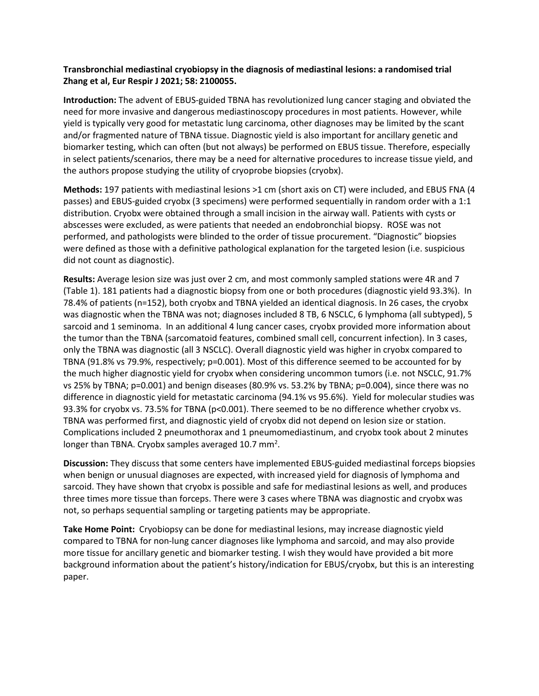# **Transbronchial mediastinal cryobiopsy in the diagnosis of mediastinal lesions: a randomised trial Zhang et al, Eur Respir J 2021; 58: 2100055.**

**Introduction:** The advent of EBUS-guided TBNA has revolutionized lung cancer staging and obviated the need for more invasive and dangerous mediastinoscopy procedures in most patients. However, while yield is typically very good for metastatic lung carcinoma, other diagnoses may be limited by the scant and/or fragmented nature of TBNA tissue. Diagnostic yield is also important for ancillary genetic and biomarker testing, which can often (but not always) be performed on EBUS tissue. Therefore, especially in select patients/scenarios, there may be a need for alternative procedures to increase tissue yield, and the authors propose studying the utility of cryoprobe biopsies (cryobx).

**Methods:** 197 patients with mediastinal lesions >1 cm (short axis on CT) were included, and EBUS FNA (4 passes) and EBUS-guided cryobx (3 specimens) were performed sequentially in random order with a 1:1 distribution. Cryobx were obtained through a small incision in the airway wall. Patients with cysts or abscesses were excluded, as were patients that needed an endobronchial biopsy. ROSE was not performed, and pathologists were blinded to the order of tissue procurement. "Diagnostic" biopsies were defined as those with a definitive pathological explanation for the targeted lesion (i.e. suspicious did not count as diagnostic).

**Results:** Average lesion size was just over 2 cm, and most commonly sampled stations were 4R and 7 (Table 1). 181 patients had a diagnostic biopsy from one or both procedures (diagnostic yield 93.3%). In 78.4% of patients (n=152), both cryobx and TBNA yielded an identical diagnosis. In 26 cases, the cryobx was diagnostic when the TBNA was not; diagnoses included 8 TB, 6 NSCLC, 6 lymphoma (all subtyped), 5 sarcoid and 1 seminoma. In an additional 4 lung cancer cases, cryobx provided more information about the tumor than the TBNA (sarcomatoid features, combined small cell, concurrent infection). In 3 cases, only the TBNA was diagnostic (all 3 NSCLC). Overall diagnostic yield was higher in cryobx compared to TBNA (91.8% vs 79.9%, respectively; p=0.001). Most of this difference seemed to be accounted for by the much higher diagnostic yield for cryobx when considering uncommon tumors (i.e. not NSCLC, 91.7% vs 25% by TBNA; p=0.001) and benign diseases (80.9% vs. 53.2% by TBNA; p=0.004), since there was no difference in diagnostic yield for metastatic carcinoma (94.1% vs 95.6%). Yield for molecular studies was 93.3% for cryobx vs. 73.5% for TBNA (p<0.001). There seemed to be no difference whether cryobx vs. TBNA was performed first, and diagnostic yield of cryobx did not depend on lesion size or station. Complications included 2 pneumothorax and 1 pneumomediastinum, and cryobx took about 2 minutes longer than TBNA. Cryobx samples averaged 10.7 mm<sup>2</sup>.

**Discussion:** They discuss that some centers have implemented EBUS-guided mediastinal forceps biopsies when benign or unusual diagnoses are expected, with increased yield for diagnosis of lymphoma and sarcoid. They have shown that cryobx is possible and safe for mediastinal lesions as well, and produces three times more tissue than forceps. There were 3 cases where TBNA was diagnostic and cryobx was not, so perhaps sequential sampling or targeting patients may be appropriate.

**Take Home Point:** Cryobiopsy can be done for mediastinal lesions, may increase diagnostic yield compared to TBNA for non-lung cancer diagnoses like lymphoma and sarcoid, and may also provide more tissue for ancillary genetic and biomarker testing. I wish they would have provided a bit more background information about the patient's history/indication for EBUS/cryobx, but this is an interesting paper.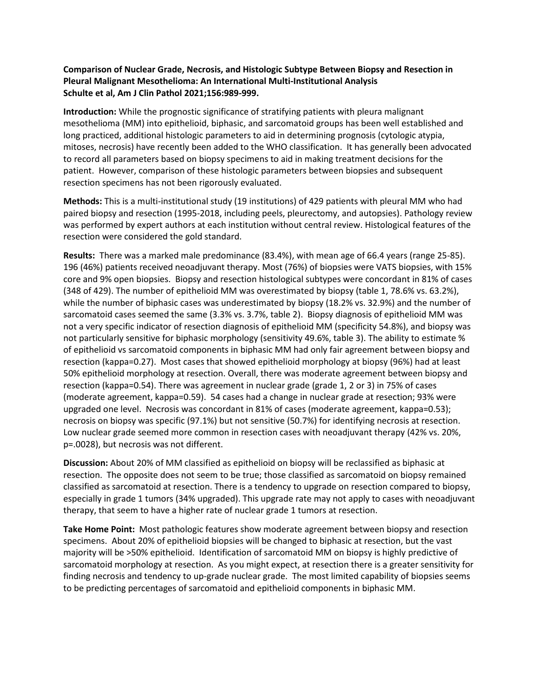# **Comparison of Nuclear Grade, Necrosis, and Histologic Subtype Between Biopsy and Resection in Pleural Malignant Mesothelioma: An International Multi-Institutional Analysis Schulte et al, Am J Clin Pathol 2021;156:989-999.**

**Introduction:** While the prognostic significance of stratifying patients with pleura malignant mesothelioma (MM) into epithelioid, biphasic, and sarcomatoid groups has been well established and long practiced, additional histologic parameters to aid in determining prognosis (cytologic atypia, mitoses, necrosis) have recently been added to the WHO classification. It has generally been advocated to record all parameters based on biopsy specimens to aid in making treatment decisions for the patient. However, comparison of these histologic parameters between biopsies and subsequent resection specimens has not been rigorously evaluated.

**Methods:** This is a multi-institutional study (19 institutions) of 429 patients with pleural MM who had paired biopsy and resection (1995-2018, including peels, pleurectomy, and autopsies). Pathology review was performed by expert authors at each institution without central review. Histological features of the resection were considered the gold standard.

**Results:** There was a marked male predominance (83.4%), with mean age of 66.4 years (range 25-85). 196 (46%) patients received neoadjuvant therapy. Most (76%) of biopsies were VATS biopsies, with 15% core and 9% open biopsies. Biopsy and resection histological subtypes were concordant in 81% of cases (348 of 429). The number of epithelioid MM was overestimated by biopsy (table 1, 78.6% vs. 63.2%), while the number of biphasic cases was underestimated by biopsy (18.2% vs. 32.9%) and the number of sarcomatoid cases seemed the same (3.3% vs. 3.7%, table 2). Biopsy diagnosis of epithelioid MM was not a very specific indicator of resection diagnosis of epithelioid MM (specificity 54.8%), and biopsy was not particularly sensitive for biphasic morphology (sensitivity 49.6%, table 3). The ability to estimate % of epithelioid vs sarcomatoid components in biphasic MM had only fair agreement between biopsy and resection (kappa=0.27). Most cases that showed epithelioid morphology at biopsy (96%) had at least 50% epithelioid morphology at resection. Overall, there was moderate agreement between biopsy and resection (kappa=0.54). There was agreement in nuclear grade (grade 1, 2 or 3) in 75% of cases (moderate agreement, kappa=0.59). 54 cases had a change in nuclear grade at resection; 93% were upgraded one level. Necrosis was concordant in 81% of cases (moderate agreement, kappa=0.53); necrosis on biopsy was specific (97.1%) but not sensitive (50.7%) for identifying necrosis at resection. Low nuclear grade seemed more common in resection cases with neoadjuvant therapy (42% vs. 20%, p=.0028), but necrosis was not different.

**Discussion:** About 20% of MM classified as epithelioid on biopsy will be reclassified as biphasic at resection. The opposite does not seem to be true; those classified as sarcomatoid on biopsy remained classified as sarcomatoid at resection. There is a tendency to upgrade on resection compared to biopsy, especially in grade 1 tumors (34% upgraded). This upgrade rate may not apply to cases with neoadjuvant therapy, that seem to have a higher rate of nuclear grade 1 tumors at resection.

**Take Home Point:** Most pathologic features show moderate agreement between biopsy and resection specimens. About 20% of epithelioid biopsies will be changed to biphasic at resection, but the vast majority will be >50% epithelioid. Identification of sarcomatoid MM on biopsy is highly predictive of sarcomatoid morphology at resection. As you might expect, at resection there is a greater sensitivity for finding necrosis and tendency to up-grade nuclear grade. The most limited capability of biopsies seems to be predicting percentages of sarcomatoid and epithelioid components in biphasic MM.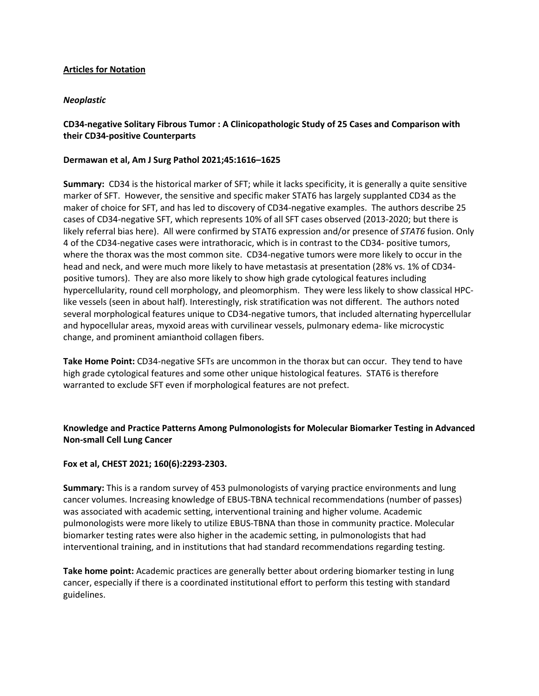# **Articles for Notation**

# *Neoplastic*

# **CD34-negative Solitary Fibrous Tumor : A Clinicopathologic Study of 25 Cases and Comparison with their CD34-positive Counterparts**

# **Dermawan et al, Am J Surg Pathol 2021;45:1616–1625**

**Summary:** CD34 is the historical marker of SFT; while it lacks specificity, it is generally a quite sensitive marker of SFT. However, the sensitive and specific maker STAT6 has largely supplanted CD34 as the maker of choice for SFT, and has led to discovery of CD34-negative examples. The authors describe 25 cases of CD34-negative SFT, which represents 10% of all SFT cases observed (2013-2020; but there is likely referral bias here). All were confirmed by STAT6 expression and/or presence of *STAT6* fusion. Only 4 of the CD34-negative cases were intrathoracic, which is in contrast to the CD34- positive tumors, where the thorax was the most common site. CD34-negative tumors were more likely to occur in the head and neck, and were much more likely to have metastasis at presentation (28% vs. 1% of CD34 positive tumors). They are also more likely to show high grade cytological features including hypercellularity, round cell morphology, and pleomorphism. They were less likely to show classical HPClike vessels (seen in about half). Interestingly, risk stratification was not different. The authors noted several morphological features unique to CD34-negative tumors, that included alternating hypercellular and hypocellular areas, myxoid areas with curvilinear vessels, pulmonary edema- like microcystic change, and prominent amianthoid collagen fibers.

**Take Home Point:** CD34-negative SFTs are uncommon in the thorax but can occur. They tend to have high grade cytological features and some other unique histological features. STAT6 is therefore warranted to exclude SFT even if morphological features are not prefect.

**Knowledge and Practice Patterns Among Pulmonologists for Molecular Biomarker Testing in Advanced Non-small Cell Lung Cancer** 

# **Fox et al, CHEST 2021; 160(6):2293-2303.**

**Summary:** This is a random survey of 453 pulmonologists of varying practice environments and lung cancer volumes. Increasing knowledge of EBUS-TBNA technical recommendations (number of passes) was associated with academic setting, interventional training and higher volume. Academic pulmonologists were more likely to utilize EBUS-TBNA than those in community practice. Molecular biomarker testing rates were also higher in the academic setting, in pulmonologists that had interventional training, and in institutions that had standard recommendations regarding testing.

**Take home point:** Academic practices are generally better about ordering biomarker testing in lung cancer, especially if there is a coordinated institutional effort to perform this testing with standard guidelines.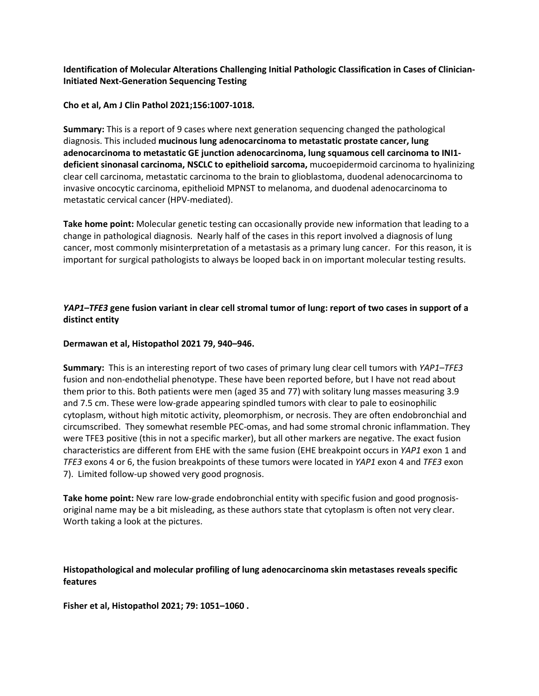**Identification of Molecular Alterations Challenging Initial Pathologic Classification in Cases of Clinician-Initiated Next-Generation Sequencing Testing** 

## **Cho et al, Am J Clin Pathol 2021;156:1007-1018.**

**Summary:** This is a report of 9 cases where next generation sequencing changed the pathological diagnosis. This included **mucinous lung adenocarcinoma to metastatic prostate cancer, lung adenocarcinoma to metastatic GE junction adenocarcinoma, lung squamous cell carcinoma to INI1 deficient sinonasal carcinoma, NSCLC to epithelioid sarcoma,** mucoepidermoid carcinoma to hyalinizing clear cell carcinoma, metastatic carcinoma to the brain to glioblastoma, duodenal adenocarcinoma to invasive oncocytic carcinoma, epithelioid MPNST to melanoma, and duodenal adenocarcinoma to metastatic cervical cancer (HPV-mediated).

**Take home point:** Molecular genetic testing can occasionally provide new information that leading to a change in pathological diagnosis.Nearly half of the cases in this report involved a diagnosis of lung cancer, most commonly misinterpretation of a metastasis as a primary lung cancer. For this reason, it is important for surgical pathologists to always be looped back in on important molecular testing results.

# *YAP1–TFE3* **gene fusion variant in clear cell stromal tumor of lung: report of two cases in support of a distinct entity**

## **Dermawan et al, Histopathol 2021 79, 940–946.**

**Summary:** This is an interesting report of two cases of primary lung clear cell tumors with *YAP1–TFE3* fusion and non-endothelial phenotype. These have been reported before, but I have not read about them prior to this. Both patients were men (aged 35 and 77) with solitary lung masses measuring 3.9 and 7.5 cm. These were low-grade appearing spindled tumors with clear to pale to eosinophilic cytoplasm, without high mitotic activity, pleomorphism, or necrosis. They are often endobronchial and circumscribed. They somewhat resemble PEC-omas, and had some stromal chronic inflammation. They were TFE3 positive (this in not a specific marker), but all other markers are negative. The exact fusion characteristics are different from EHE with the same fusion (EHE breakpoint occurs in *YAP1* exon 1 and *TFE3* exons 4 or 6, the fusion breakpoints of these tumors were located in *YAP1* exon 4 and *TFE3* exon 7). Limited follow-up showed very good prognosis.

**Take home point:** New rare low-grade endobronchial entity with specific fusion and good prognosisoriginal name may be a bit misleading, as these authors state that cytoplasm is often not very clear. Worth taking a look at the pictures.

# **Histopathological and molecular profiling of lung adenocarcinoma skin metastases reveals specific features**

**Fisher et al, Histopathol 2021; 79: 1051–1060 .**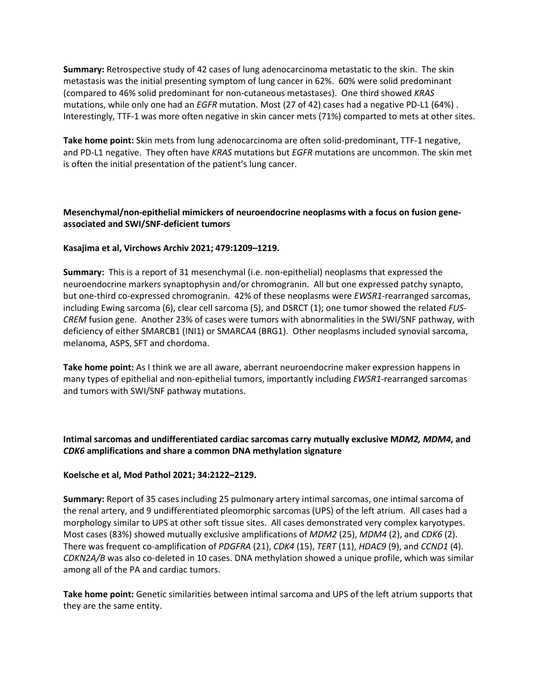**Summary:** Retrospective study of 42 cases of lung adenocarcinoma metastatic to the skin. The skin metastasis was the initial presenting symptom of lung cancer in 62%. 60% were solid predominant (compared to 46% solid predominant for non-cutaneous metastases). One third showed *KRAS*  mutations, while only one had an *EGFR* mutation. Most (27 of 42) cases had a negative PD-L1 (64%) . Interestingly, TTF-1 was more often negative in skin cancer mets (71%) comparted to mets at other sites.

**Take home point:** Skin mets from lung adenocarcinoma are often solid-predominant, TTF-1 negative, and PD-L1 negative. They often have *KRAS* mutations but *EGFR* mutations are uncommon. The skin met is often the initial presentation of the patient's lung cancer.

# **Mesenchymal/non-epithelial mimickers of neuroendocrine neoplasms with a focus on fusion geneassociated and SWI/SNF-deficient tumors**

# **Kasajima et al, Virchows Archiv 2021; 479:1209–1219.**

**Summary:** This is a report of 31 mesenchymal (i.e. non-epithelial) neoplasms that expressed the neuroendocrine markers synaptophysin and/or chromogranin. All but one expressed patchy synapto, but one-third co-expressed chromogranin. 42% of these neoplasms were *EWSR1*-rearranged sarcomas, including Ewing sarcoma (6), clear cell sarcoma (5), and DSRCT (1); one tumor showed the related *FUS-CREM* fusion gene. Another 23% of cases were tumors with abnormalities in the SWI/SNF pathway, with deficiency of either SMARCB1 (INI1) or SMARCA4 (BRG1). Other neoplasms included synovial sarcoma, melanoma, ASPS, SFT and chordoma.

**Take home point:** As I think we are all aware, aberrant neuroendocrine maker expression happens in many types of epithelial and non-epithelial tumors, importantly including *EWSR1*-rearranged sarcomas and tumors with SWI/SNF pathway mutations.

**Intimal sarcomas and undifferentiated cardiac sarcomas carry mutually exclusive M***DM2, MDM4***, and**  *CDK6* **amplifications and share a common DNA methylation signature**

# **Koelsche et al, Mod Pathol 2021; 34:2122–2129.**

**Summary:** Report of 35 cases including 25 pulmonary artery intimal sarcomas, one intimal sarcoma of the renal artery, and 9 undifferentiated pleomorphic sarcomas (UPS) of the left atrium. All cases had a morphology similar to UPS at other soft tissue sites. All cases demonstrated very complex karyotypes. Most cases (83%) showed mutually exclusive amplifications of *MDM2* (25), *MDM4* (2), and *CDK6* (2). There was frequent co-amplification of *PDGFRA* (21), *CDK4* (15), *TERT* (11), *HDAC9* (9), and *CCND1* (4). *CDKN2A/B* was also co-deleted in 10 cases. DNA methylation showed a unique profile, which was similar among all of the PA and cardiac tumors.

**Take home point:** Genetic similarities between intimal sarcoma and UPS of the left atrium supports that they are the same entity.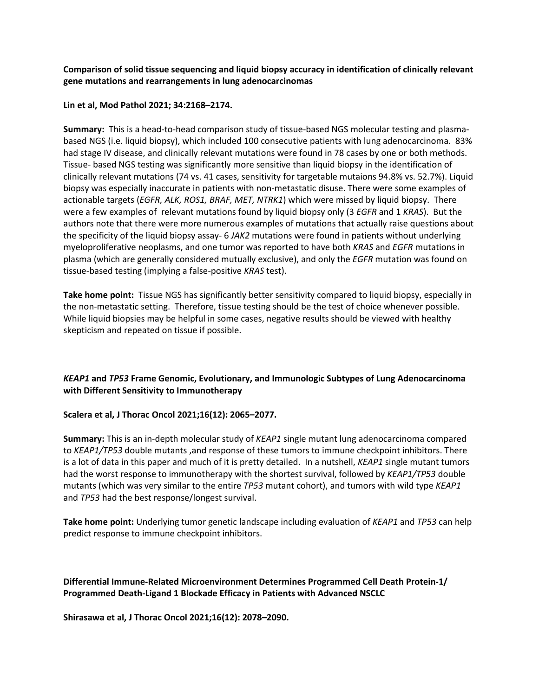**Comparison of solid tissue sequencing and liquid biopsy accuracy in identification of clinically relevant gene mutations and rearrangements in lung adenocarcinomas** 

## **Lin et al, Mod Pathol 2021; 34:2168–2174.**

**Summary:** This is a head-to-head comparison study of tissue-based NGS molecular testing and plasmabased NGS (i.e. liquid biopsy), which included 100 consecutive patients with lung adenocarcinoma. 83% had stage IV disease, and clinically relevant mutations were found in 78 cases by one or both methods. Tissue- based NGS testing was significantly more sensitive than liquid biopsy in the identification of clinically relevant mutations (74 vs. 41 cases, sensitivity for targetable mutaions 94.8% vs. 52.7%). Liquid biopsy was especially inaccurate in patients with non-metastatic disuse. There were some examples of actionable targets (*EGFR, ALK, ROS1, BRAF, MET, NTRK1*) which were missed by liquid biopsy. There were a few examples of relevant mutations found by liquid biopsy only (3 *EGFR* and 1 *KRAS*). But the authors note that there were more numerous examples of mutations that actually raise questions about the specificity of the liquid biopsy assay- 6 *JAK2* mutations were found in patients without underlying myeloproliferative neoplasms, and one tumor was reported to have both *KRAS* and *EGFR* mutations in plasma (which are generally considered mutually exclusive), and only the *EGFR* mutation was found on tissue-based testing (implying a false-positive *KRAS* test).

**Take home point:** Tissue NGS has significantly better sensitivity compared to liquid biopsy, especially in the non-metastatic setting. Therefore, tissue testing should be the test of choice whenever possible. While liquid biopsies may be helpful in some cases, negative results should be viewed with healthy skepticism and repeated on tissue if possible.

# *KEAP1* **and** *TP53* **Frame Genomic, Evolutionary, and Immunologic Subtypes of Lung Adenocarcinoma with Different Sensitivity to Immunotherapy**

# **Scalera et al, J Thorac Oncol 2021;16(12): 2065–2077.**

**Summary:** This is an in-depth molecular study of *KEAP1* single mutant lung adenocarcinoma compared to *KEAP1/TP53* double mutants ,and response of these tumors to immune checkpoint inhibitors. There is a lot of data in this paper and much of it is pretty detailed. In a nutshell, *KEAP1* single mutant tumors had the worst response to immunotherapy with the shortest survival, followed by *KEAP1/TP53* double mutants (which was very similar to the entire *TP53* mutant cohort), and tumors with wild type *KEAP1*  and *TP53* had the best response/longest survival.

**Take home point:** Underlying tumor genetic landscape including evaluation of *KEAP1* and *TP53* can help predict response to immune checkpoint inhibitors.

**Differential Immune-Related Microenvironment Determines Programmed Cell Death Protein-1/ Programmed Death-Ligand 1 Blockade Efficacy in Patients with Advanced NSCLC** 

**Shirasawa et al, J Thorac Oncol 2021;16(12): 2078–2090.**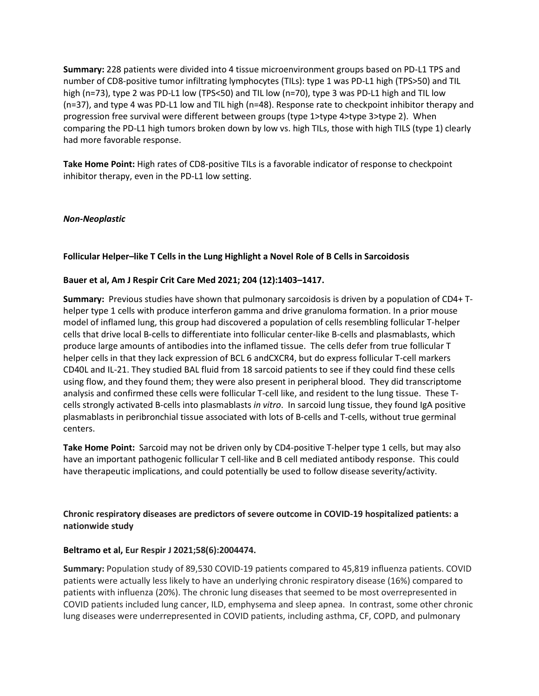**Summary:** 228 patients were divided into 4 tissue microenvironment groups based on PD-L1 TPS and number of CD8-positive tumor infiltrating lymphocytes (TILs): type 1 was PD-L1 high (TPS>50) and TIL high (n=73), type 2 was PD-L1 low (TPS<50) and TIL low (n=70), type 3 was PD-L1 high and TIL low (n=37), and type 4 was PD-L1 low and TIL high (n=48). Response rate to checkpoint inhibitor therapy and progression free survival were different between groups (type 1>type 4>type 3>type 2). When comparing the PD-L1 high tumors broken down by low vs. high TILs, those with high TILS (type 1) clearly had more favorable response.

**Take Home Point:** High rates of CD8-positive TILs is a favorable indicator of response to checkpoint inhibitor therapy, even in the PD-L1 low setting.

# *Non-Neoplastic*

#### **Follicular Helper–like T Cells in the Lung Highlight a Novel Role of B Cells in Sarcoidosis**

#### **Bauer et al, Am J Respir Crit Care Med 2021; 204 (12):1403–1417.**

**Summary:** Previous studies have shown that pulmonary sarcoidosis is driven by a population of CD4+ Thelper type 1 cells with produce interferon gamma and drive granuloma formation. In a prior mouse model of inflamed lung, this group had discovered a population of cells resembling follicular T-helper cells that drive local B-cells to differentiate into follicular center-like B-cells and plasmablasts, which produce large amounts of antibodies into the inflamed tissue. The cells defer from true follicular T helper cells in that they lack expression of BCL 6 andCXCR4, but do express follicular T-cell markers CD40L and IL-21. They studied BAL fluid from 18 sarcoid patients to see if they could find these cells using flow, and they found them; they were also present in peripheral blood. They did transcriptome analysis and confirmed these cells were follicular T-cell like, and resident to the lung tissue. These Tcells strongly activated B-cells into plasmablasts *in vitro*. In sarcoid lung tissue, they found IgA positive plasmablasts in peribronchial tissue associated with lots of B-cells and T-cells, without true germinal centers.

**Take Home Point:** Sarcoid may not be driven only by CD4-positive T-helper type 1 cells, but may also have an important pathogenic follicular T cell-like and B cell mediated antibody response. This could have therapeutic implications, and could potentially be used to follow disease severity/activity.

**Chronic respiratory diseases are predictors of severe outcome in COVID-19 hospitalized patients: a nationwide study** 

#### **Beltramo et al, Eur Respir J 2021;58(6):2004474.**

**Summary:** Population study of 89,530 COVID-19 patients compared to 45,819 influenza patients. COVID patients were actually less likely to have an underlying chronic respiratory disease (16%) compared to patients with influenza (20%). The chronic lung diseases that seemed to be most overrepresented in COVID patients included lung cancer, ILD, emphysema and sleep apnea. In contrast, some other chronic lung diseases were underrepresented in COVID patients, including asthma, CF, COPD, and pulmonary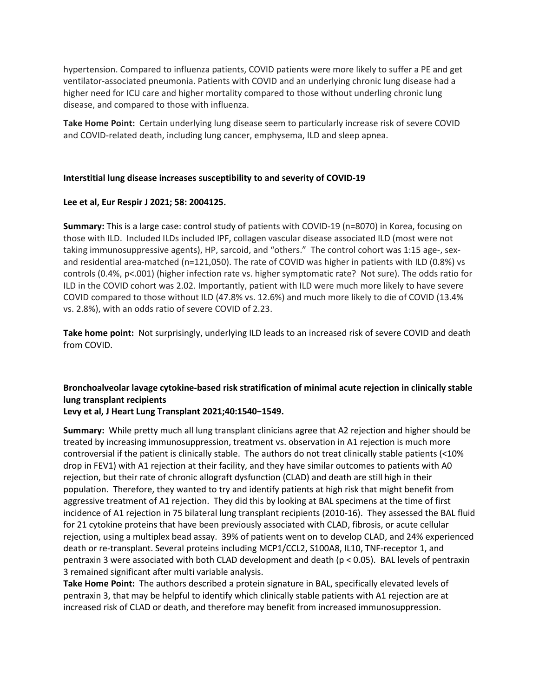hypertension. Compared to influenza patients, COVID patients were more likely to suffer a PE and get ventilator-associated pneumonia. Patients with COVID and an underlying chronic lung disease had a higher need for ICU care and higher mortality compared to those without underling chronic lung disease, and compared to those with influenza.

**Take Home Point:** Certain underlying lung disease seem to particularly increase risk of severe COVID and COVID-related death, including lung cancer, emphysema, ILD and sleep apnea.

#### **Interstitial lung disease increases susceptibility to and severity of COVID-19**

#### **Lee et al, Eur Respir J 2021; 58: 2004125.**

**Summary:** This is a large case: control study of patients with COVID-19 (n=8070) in Korea, focusing on those with ILD. Included ILDs included IPF, collagen vascular disease associated ILD (most were not taking immunosuppressive agents), HP, sarcoid, and "others." The control cohort was 1:15 age-, sexand residential area-matched (n=121,050). The rate of COVID was higher in patients with ILD (0.8%) vs controls (0.4%, p<.001) (higher infection rate vs. higher symptomatic rate? Not sure). The odds ratio for ILD in the COVID cohort was 2.02. Importantly, patient with ILD were much more likely to have severe COVID compared to those without ILD (47.8% vs. 12.6%) and much more likely to die of COVID (13.4% vs. 2.8%), with an odds ratio of severe COVID of 2.23.

**Take home point:** Not surprisingly, underlying ILD leads to an increased risk of severe COVID and death from COVID.

# **Bronchoalveolar lavage cytokine-based risk stratification of minimal acute rejection in clinically stable lung transplant recipients**

# **Levy et al, J Heart Lung Transplant 2021;40:1540−1549.**

**Summary:** While pretty much all lung transplant clinicians agree that A2 rejection and higher should be treated by increasing immunosuppression, treatment vs. observation in A1 rejection is much more controversial if the patient is clinically stable. The authors do not treat clinically stable patients (<10% drop in FEV1) with A1 rejection at their facility, and they have similar outcomes to patients with A0 rejection, but their rate of chronic allograft dysfunction (CLAD) and death are still high in their population. Therefore, they wanted to try and identify patients at high risk that might benefit from aggressive treatment of A1 rejection. They did this by looking at BAL specimens at the time of first incidence of A1 rejection in 75 bilateral lung transplant recipients (2010-16). They assessed the BAL fluid for 21 cytokine proteins that have been previously associated with CLAD, fibrosis, or acute cellular rejection, using a multiplex bead assay. 39% of patients went on to develop CLAD, and 24% experienced death or re-transplant. Several proteins including MCP1/CCL2, S100A8, IL10, TNF-receptor 1, and pentraxin 3 were associated with both CLAD development and death (p < 0.05). BAL levels of pentraxin 3 remained significant after multi variable analysis.

**Take Home Point:** The authors described a protein signature in BAL, specifically elevated levels of pentraxin 3, that may be helpful to identify which clinically stable patients with A1 rejection are at increased risk of CLAD or death, and therefore may benefit from increased immunosuppression.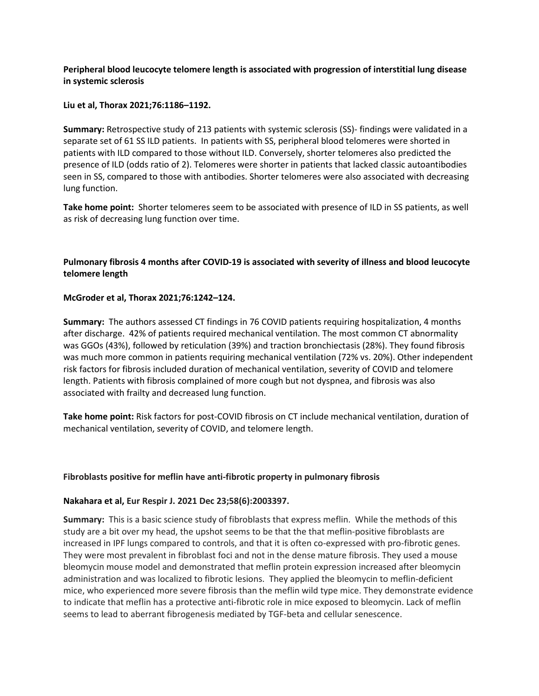# **Peripheral blood leucocyte telomere length is associated with progression of interstitial lung disease in systemic sclerosis**

#### **Liu et al, Thorax 2021;76:1186–1192.**

**Summary:** Retrospective study of 213 patients with systemic sclerosis (SS)- findings were validated in a separate set of 61 SS ILD patients. In patients with SS, peripheral blood telomeres were shorted in patients with ILD compared to those without ILD. Conversely, shorter telomeres also predicted the presence of ILD (odds ratio of 2). Telomeres were shorter in patients that lacked classic autoantibodies seen in SS, compared to those with antibodies. Shorter telomeres were also associated with decreasing lung function.

**Take home point:** Shorter telomeres seem to be associated with presence of ILD in SS patients, as well as risk of decreasing lung function over time.

# **Pulmonary fibrosis 4 months after COVID-19 is associated with severity of illness and blood leucocyte telomere length**

#### **McGroder et al, Thorax 2021;76:1242–124.**

**Summary:** The authors assessed CT findings in 76 COVID patients requiring hospitalization, 4 months after discharge. 42% of patients required mechanical ventilation. The most common CT abnormality was GGOs (43%), followed by reticulation (39%) and traction bronchiectasis (28%). They found fibrosis was much more common in patients requiring mechanical ventilation (72% vs. 20%). Other independent risk factors for fibrosis included duration of mechanical ventilation, severity of COVID and telomere length. Patients with fibrosis complained of more cough but not dyspnea, and fibrosis was also associated with frailty and decreased lung function.

**Take home point:** Risk factors for post-COVID fibrosis on CT include mechanical ventilation, duration of mechanical ventilation, severity of COVID, and telomere length.

#### **Fibroblasts positive for meflin have anti-fibrotic property in pulmonary fibrosis**

#### **Nakahara et al, Eur Respir J. 2021 Dec 23;58(6):2003397.**

**Summary:** This is a basic science study of fibroblasts that express meflin. While the methods of this study are a bit over my head, the upshot seems to be that the that meflin-positive fibroblasts are increased in IPF lungs compared to controls, and that it is often co-expressed with pro-fibrotic genes. They were most prevalent in fibroblast foci and not in the dense mature fibrosis. They used a mouse bleomycin mouse model and demonstrated that meflin protein expression increased after bleomycin administration and was localized to fibrotic lesions. They applied the bleomycin to meflin-deficient mice, who experienced more severe fibrosis than the meflin wild type mice. They demonstrate evidence to indicate that meflin has a protective anti-fibrotic role in mice exposed to bleomycin. Lack of meflin seems to lead to aberrant fibrogenesis mediated by TGF-beta and cellular senescence.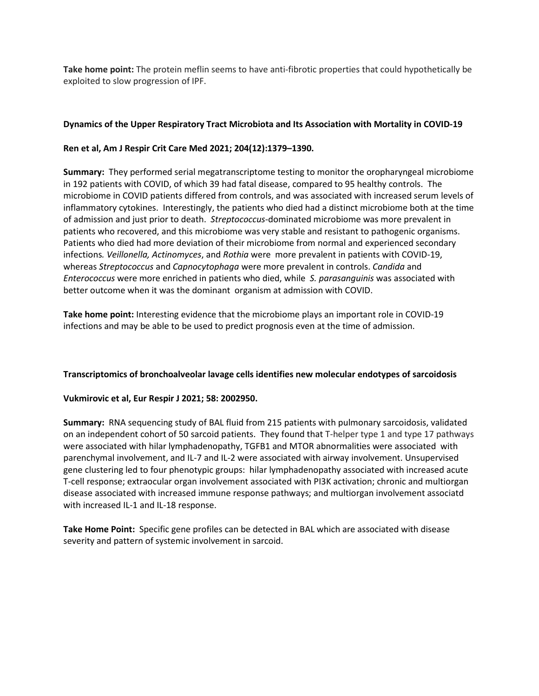**Take home point:** The protein meflin seems to have anti-fibrotic properties that could hypothetically be exploited to slow progression of IPF.

# **Dynamics of the Upper Respiratory Tract Microbiota and Its Association with Mortality in COVID-19**

# **Ren et al, Am J Respir Crit Care Med 2021; 204(12):1379–1390.**

**Summary:** They performed serial megatranscriptome testing to monitor the oropharyngeal microbiome in 192 patients with COVID, of which 39 had fatal disease, compared to 95 healthy controls. The microbiome in COVID patients differed from controls, and was associated with increased serum levels of inflammatory cytokines. Interestingly, the patients who died had a distinct microbiome both at the time of admission and just prior to death. *Streptococcus*-dominated microbiome was more prevalent in patients who recovered, and this microbiome was very stable and resistant to pathogenic organisms. Patients who died had more deviation of their microbiome from normal and experienced secondary infections*. Veillonella, Actinomyces*, and *Rothia* were more prevalent in patients with COVID-19, whereas *Streptococcus* and *Capnocytophaga* were more prevalent in controls. *Candida* and *Enterococcus* were more enriched in patients who died, while *S. parasanguinis* was associated with better outcome when it was the dominant organism at admission with COVID.

**Take home point:** Interesting evidence that the microbiome plays an important role in COVID-19 infections and may be able to be used to predict prognosis even at the time of admission.

# **Transcriptomics of bronchoalveolar lavage cells identifies new molecular endotypes of sarcoidosis**

# **Vukmirovic et al, Eur Respir J 2021; 58: 2002950.**

**Summary:** RNA sequencing study of BAL fluid from 215 patients with pulmonary sarcoidosis, validated on an independent cohort of 50 sarcoid patients. They found that T-helper type 1 and type 17 pathways were associated with hilar lymphadenopathy, TGFB1 and MTOR abnormalities were associated with parenchymal involvement, and IL-7 and IL-2 were associated with airway involvement. Unsupervised gene clustering led to four phenotypic groups: hilar lymphadenopathy associated with increased acute T-cell response; extraocular organ involvement associated with PI3K activation; chronic and multiorgan disease associated with increased immune response pathways; and multiorgan involvement associatd with increased IL-1 and IL-18 response.

**Take Home Point:** Specific gene profiles can be detected in BAL which are associated with disease severity and pattern of systemic involvement in sarcoid.